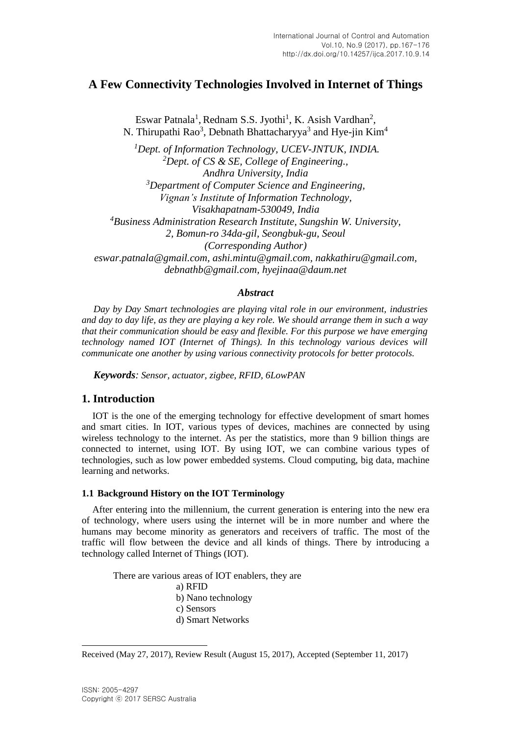# **A Few Connectivity Technologies Involved in Internet of Things**

Eswar Patnala<sup>1</sup>, Rednam S.S. Jyothi<sup>1</sup>, K. Asish Vardhan<sup>2</sup>, N. Thirupathi Rao<sup>3</sup>, Debnath Bhattacharyya<sup>3</sup> and Hye-jin Kim<sup>4</sup>

*<sup>1</sup>Dept. of Information Technology, UCEV-JNTUK, INDIA. <sup>2</sup>Dept. of CS & SE, College of Engineering., Andhra University, India <sup>3</sup>Department of Computer Science and Engineering, Vignan's Institute of Information Technology, Visakhapatnam-530049, India <sup>4</sup>Business Administration Research Institute, Sungshin W. University, 2, Bomun-ro 34da-gil, Seongbuk-gu, Seoul (Corresponding Author) eswar.patnala@gmail.com, [ashi.mintu@gmail.com,](mailto:ashi.mintu@gmail.com) [nakkathiru@gmail.com,](mailto:nakkathiru@gmail.com) debnathb@gmail.com, hyejinaa@daum.net*

## *Abstract*

*Day by Day Smart technologies are playing vital role in our environment, industries and day to day life, as they are playing a key role. We should arrange them in such a way that their communication should be easy and flexible. For this purpose we have emerging technology named IOT (Internet of Things). In this technology various devices will communicate one another by using various connectivity protocols for better protocols.*

*Keywords: Sensor, actuator, zigbee, RFID, 6LowPAN*

## **1. Introduction**

IOT is the one of the emerging technology for effective development of smart homes and smart cities. In IOT, various types of devices, machines are connected by using wireless technology to the internet. As per the statistics, more than 9 billion things are connected to internet, using IOT. By using IOT, we can combine various types of technologies, such as low power embedded systems. Cloud computing, big data, machine learning and networks.

## **1.1 Background History on the IOT Terminology**

After entering into the millennium, the current generation is entering into the new era of technology, where users using the internet will be in more number and where the humans may become minority as generators and receivers of traffic. The most of the traffic will flow between the device and all kinds of things. There by introducing a technology called Internet of Things (IOT).

There are various areas of IOT enablers, they are

- a) RFID
- b) Nano technology
- c) Sensors
- d) Smart Networks

l

Received (May 27, 2017), Review Result (August 15, 2017), Accepted (September 11, 2017)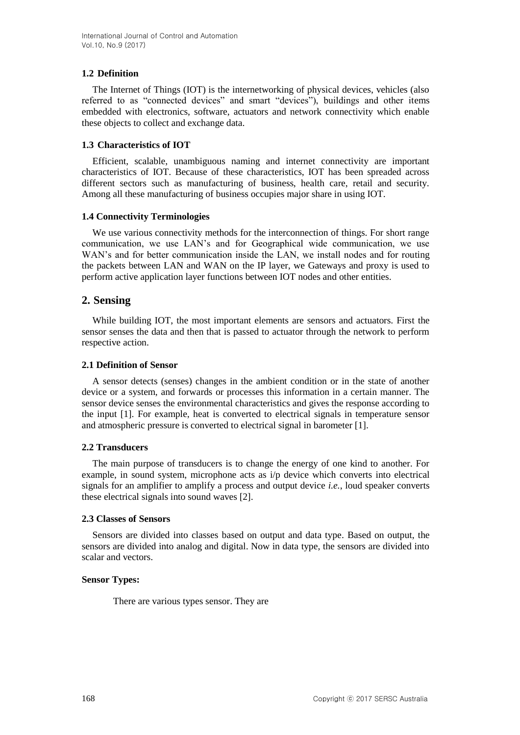## **1.2 Definition**

The Internet of Things (IOT) is the internetworking of physical devices, vehicles (also referred to as "connected devices" and smart "devices"), buildings and other items embedded with electronics, software, actuators and network connectivity which enable these objects to collect and exchange data.

## **1.3 Characteristics of IOT**

Efficient, scalable, unambiguous naming and internet connectivity are important characteristics of IOT. Because of these characteristics, IOT has been spreaded across different sectors such as manufacturing of business, health care, retail and security. Among all these manufacturing of business occupies major share in using IOT.

## **1.4 Connectivity Terminologies**

We use various connectivity methods for the interconnection of things. For short range communication, we use LAN's and for Geographical wide communication, we use WAN's and for better communication inside the LAN, we install nodes and for routing the packets between LAN and WAN on the IP layer, we Gateways and proxy is used to perform active application layer functions between IOT nodes and other entities.

## **2. Sensing**

While building IOT, the most important elements are sensors and actuators. First the sensor senses the data and then that is passed to actuator through the network to perform respective action.

#### **2.1 Definition of Sensor**

A sensor detects (senses) changes in the ambient condition or in the state of another device or a system, and forwards or processes this information in a certain manner. The sensor device senses the environmental characteristics and gives the response according to the input [1]. For example, heat is converted to electrical signals in temperature sensor and atmospheric pressure is converted to electrical signal in barometer [1].

#### **2.2 Transducers**

The main purpose of transducers is to change the energy of one kind to another. For example, in sound system, microphone acts as  $i/p$  device which converts into electrical signals for an amplifier to amplify a process and output device *i.e.*, loud speaker converts these electrical signals into sound waves [2].

#### **2.3 Classes of Sensors**

Sensors are divided into classes based on output and data type. Based on output, the sensors are divided into analog and digital. Now in data type, the sensors are divided into scalar and vectors.

#### **Sensor Types:**

There are various types sensor. They are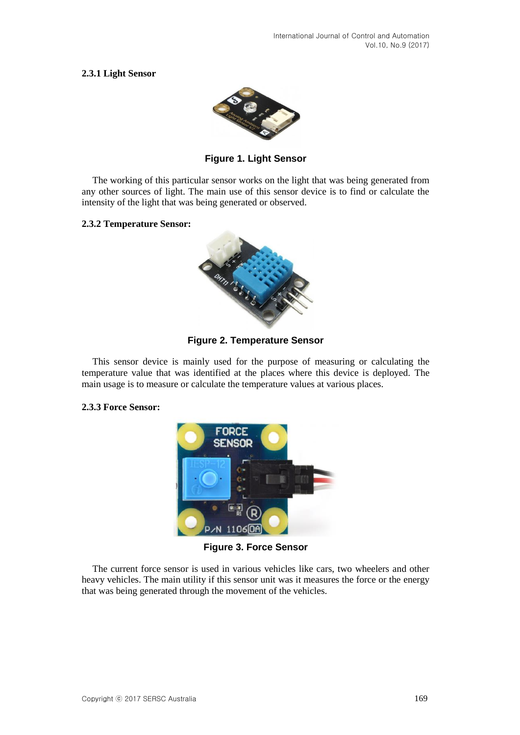## **2.3.1 Light Sensor**



**Figure 1. Light Sensor**

The working of this particular sensor works on the light that was being generated from any other sources of light. The main use of this sensor device is to find or calculate the intensity of the light that was being generated or observed.

#### **2.3.2 Temperature Sensor:**



**Figure 2. Temperature Sensor**

This sensor device is mainly used for the purpose of measuring or calculating the temperature value that was identified at the places where this device is deployed. The main usage is to measure or calculate the temperature values at various places.

#### **2.3.3 Force Sensor:**



**Figure 3. Force Sensor**

The current force sensor is used in various vehicles like cars, two wheelers and other heavy vehicles. The main utility if this sensor unit was it measures the force or the energy that was being generated through the movement of the vehicles.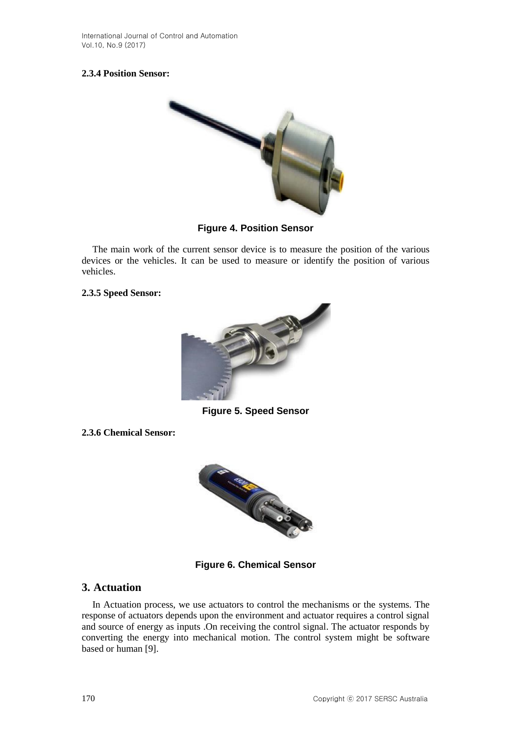## **2.3.4 Position Sensor:**



## **Figure 4. Position Sensor**

The main work of the current sensor device is to measure the position of the various devices or the vehicles. It can be used to measure or identify the position of various vehicles.

## **2.3.5 Speed Sensor:**



**Figure 5. Speed Sensor**

**2.3.6 Chemical Sensor:** 



**Figure 6. Chemical Sensor**

## **3. Actuation**

In Actuation process, we use actuators to control the mechanisms or the systems. The response of actuators depends upon the environment and actuator requires a control signal and source of energy as inputs .On receiving the control signal. The actuator responds by converting the energy into mechanical motion. The control system might be software based or human [9].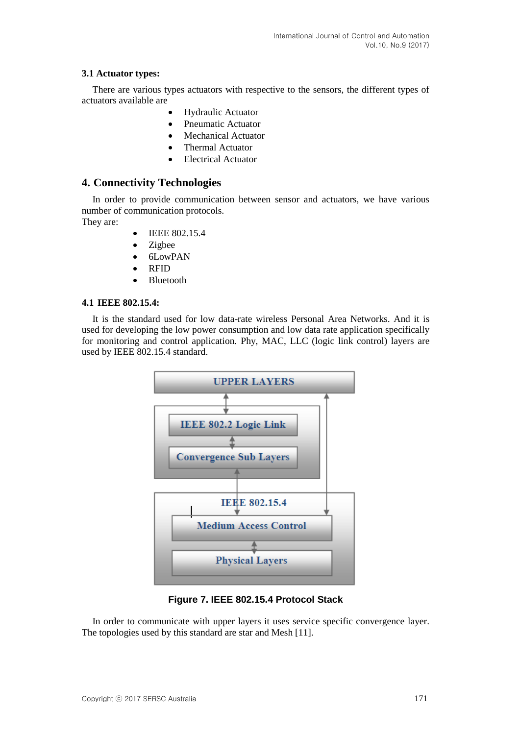## **3.1 Actuator types:**

There are various types actuators with respective to the sensors, the different types of actuators available are

- Hydraulic Actuator
- Pneumatic Actuator
- Mechanical Actuator
- Thermal Actuator
- Electrical Actuator

## **4. Connectivity Technologies**

In order to provide communication between sensor and actuators, we have various number of communication protocols.

They are:

- IEEE 802.15.4
- Zigbee
- 6LowPAN
- RFID
- Bluetooth

#### **4.1 IEEE 802.15.4:**

It is the standard used for low data-rate wireless Personal Area Networks. And it is used for developing the low power consumption and low data rate application specifically for monitoring and control application. Phy, MAC, LLC (logic link control) layers are used by IEEE 802.15.4 standard.



**Figure 7. IEEE 802.15.4 Protocol Stack** 

In order to communicate with upper layers it uses service specific convergence layer. The topologies used by this standard are star and Mesh [11].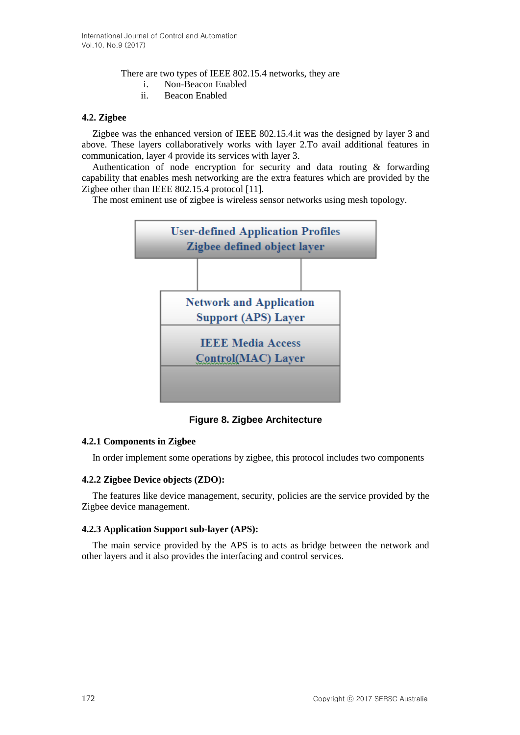There are two types of IEEE 802.15.4 networks, they are

- i. Non-Beacon Enabled
- ii. Beacon Enabled

#### **4.2. Zigbee**

Zigbee was the enhanced version of IEEE 802.15.4.it was the designed by layer 3 and above. These layers collaboratively works with layer 2.To avail additional features in communication, layer 4 provide its services with layer 3.

Authentication of node encryption for security and data routing & forwarding capability that enables mesh networking are the extra features which are provided by the Zigbee other than IEEE 802.15.4 protocol [11].

The most eminent use of zigbee is wireless sensor networks using mesh topology.



**Figure 8. Zigbee Architecture**

## **4.2.1 Components in Zigbee**

In order implement some operations by zigbee, this protocol includes two components

## **4.2.2 Zigbee Device objects (ZDO):**

The features like device management, security, policies are the service provided by the Zigbee device management.

#### **4.2.3 Application Support sub-layer (APS):**

The main service provided by the APS is to acts as bridge between the network and other layers and it also provides the interfacing and control services.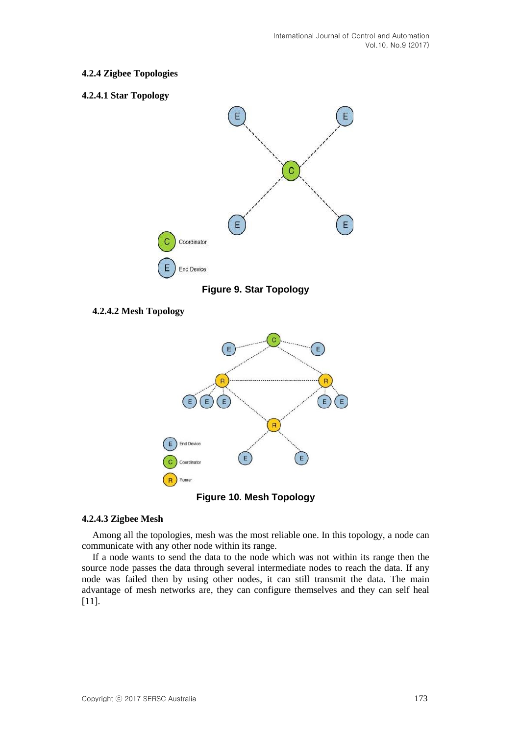## **4.2.4 Zigbee Topologies**

#### **4.2.4.1 Star Topology**



**Figure 9. Star Topology**

## **4.2.4.2 Mesh Topology**





#### **4.2.4.3 Zigbee Mesh**

Among all the topologies, mesh was the most reliable one. In this topology, a node can communicate with any other node within its range.

If a node wants to send the data to the node which was not within its range then the source node passes the data through several intermediate nodes to reach the data. If any node was failed then by using other nodes, it can still transmit the data. The main advantage of mesh networks are, they can configure themselves and they can self heal [11].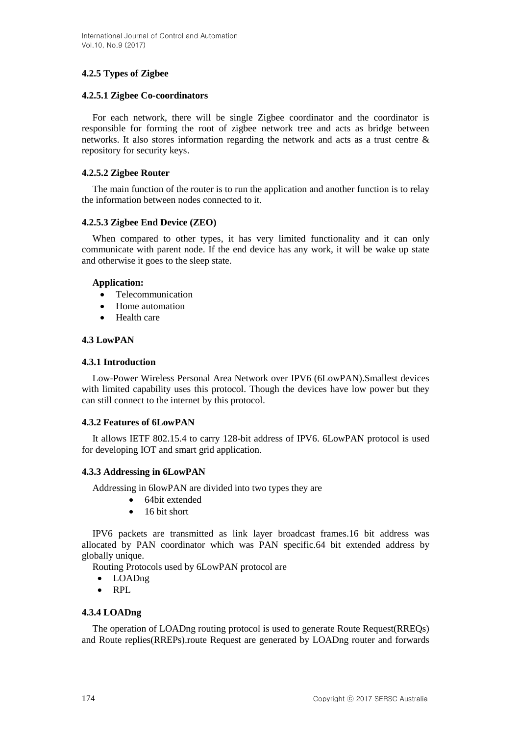## **4.2.5 Types of Zigbee**

## **4.2.5.1 Zigbee Co-coordinators**

For each network, there will be single Zigbee coordinator and the coordinator is responsible for forming the root of zigbee network tree and acts as bridge between networks. It also stores information regarding the network and acts as a trust centre & repository for security keys.

## **4.2.5.2 Zigbee Router**

The main function of the router is to run the application and another function is to relay the information between nodes connected to it.

## **4.2.5.3 Zigbee End Device (ZEO)**

When compared to other types, it has very limited functionality and it can only communicate with parent node. If the end device has any work, it will be wake up state and otherwise it goes to the sleep state.

## **Application:**

- Telecommunication
- Home automation
- Health care

## **4.3 LowPAN**

## **4.3.1 Introduction**

Low-Power Wireless Personal Area Network over IPV6 (6LowPAN).Smallest devices with limited capability uses this protocol. Though the devices have low power but they can still connect to the internet by this protocol.

## **4.3.2 Features of 6LowPAN**

It allows IETF 802.15.4 to carry 128-bit address of IPV6. 6LowPAN protocol is used for developing IOT and smart grid application.

## **4.3.3 Addressing in 6LowPAN**

Addressing in 6lowPAN are divided into two types they are

- 64bit extended
- $\bullet$  16 bit short

IPV6 packets are transmitted as link layer broadcast frames.16 bit address was allocated by PAN coordinator which was PAN specific.64 bit extended address by globally unique.

Routing Protocols used by 6LowPAN protocol are

- LOADng
- RPL

#### **4.3.4 LOADng**

The operation of LOADng routing protocol is used to generate Route Request(RREQs) and Route replies(RREPs).route Request are generated by LOADng router and forwards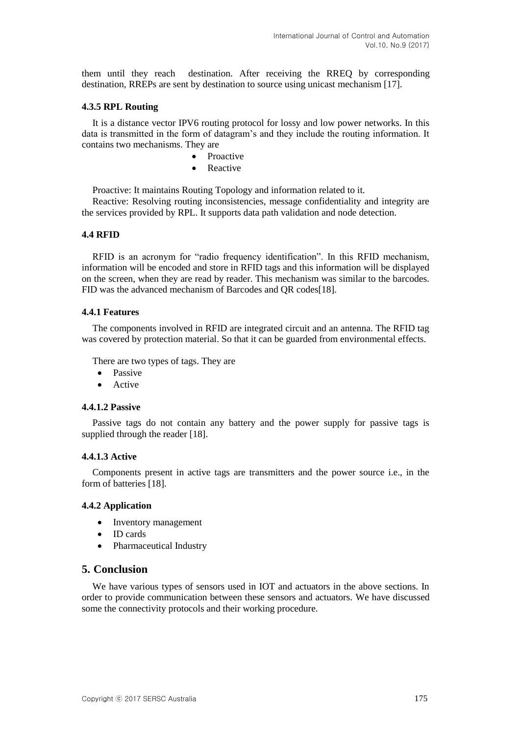them until they reach destination. After receiving the RREQ by corresponding destination, RREPs are sent by destination to source using unicast mechanism [17].

#### **4.3.5 RPL Routing**

It is a distance vector IPV6 routing protocol for lossy and low power networks. In this data is transmitted in the form of datagram's and they include the routing information. It contains two mechanisms. They are

- Proactive
- Reactive

Proactive: It maintains Routing Topology and information related to it.

Reactive: Resolving routing inconsistencies, message confidentiality and integrity are the services provided by RPL. It supports data path validation and node detection.

#### **4.4 RFID**

RFID is an acronym for "radio frequency identification". In this RFID mechanism, information will be encoded and store in RFID tags and this information will be displayed on the screen, when they are read by reader. This mechanism was similar to the barcodes. FID was the advanced mechanism of Barcodes and QR codes[18].

#### **4.4.1 Features**

The components involved in RFID are integrated circuit and an antenna. The RFID tag was covered by protection material. So that it can be guarded from environmental effects.

There are two types of tags. They are

- Passive
- Active

#### **4.4.1.2 Passive**

Passive tags do not contain any battery and the power supply for passive tags is supplied through the reader [18].

#### **4.4.1.3 Active**

Components present in active tags are transmitters and the power source i.e., in the form of batteries [18].

#### **4.4.2 Application**

- Inventory management
- ID cards
- Pharmaceutical Industry

#### **5. Conclusion**

We have various types of sensors used in IOT and actuators in the above sections. In order to provide communication between these sensors and actuators. We have discussed some the connectivity protocols and their working procedure.